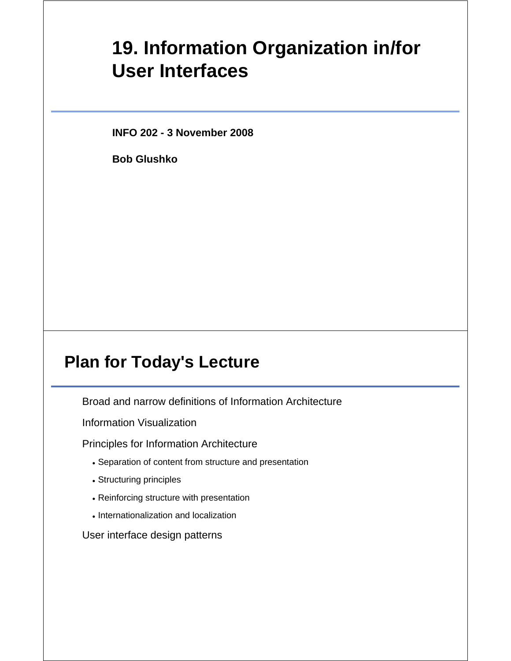# **19. Information Organization in/for User Interfaces**

**INFO 202 - 3 November 2008**

**Bob Glushko**

#### **Plan for Today's Lecture**

Broad and narrow definitions of Information Architecture

Information Visualization

Principles for Information Architecture

- Separation of content from structure and presentation
- Structuring principles
- Reinforcing structure with presentation
- Internationalization and localization

User interface design patterns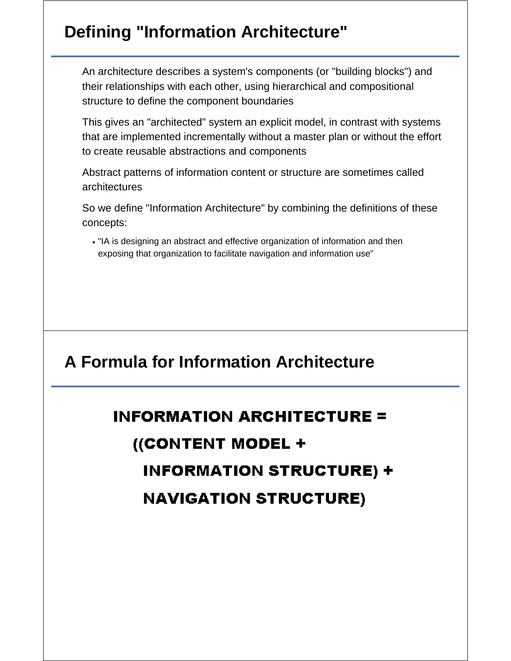# **Defining "Information Architecture"**

An architecture describes a system's components (or "building blocks") and their relationships with each other, using hierarchical and compositional structure to define the component boundaries

This gives an "architected" system an explicit model, in contrast with systems that are implemented incrementally without a master plan or without the effort to create reusable abstractions and components

Abstract patterns of information content or structure are sometimes called architectures

So we define "Information Architecture" by combining the definitions of these concepts:

"IA is designing an abstract and effective organization of information and then exposing that organization to facilitate navigation and information use"

### **A Formula for Information Architecture**

# **INFORMATION ARCHITECTURE =** ((CONTENT MODEL + **INFORMATION STRUCTURE) + NAVIGATION STRUCTURE)**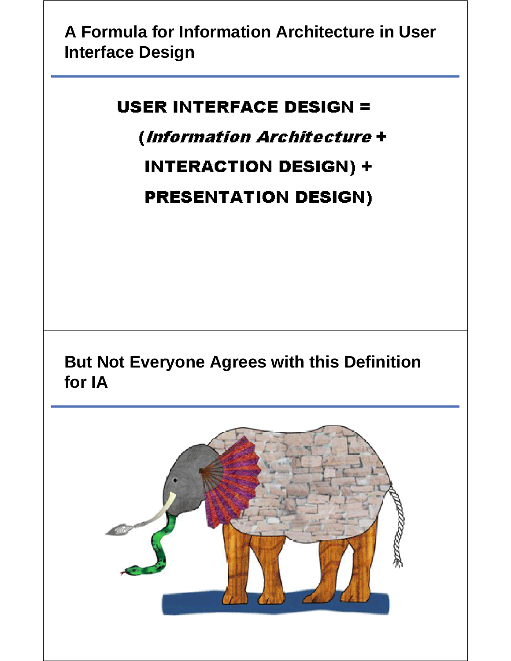### **A Formula for Information Architecture in User Interface Design**

#### **USER INTERFACE DESIGN =**

(Information Architecture +

**INTERACTION DESIGN) +** 

**PRESENTATION DESIGN)** 

**But Not Everyone Agrees with this Definition for IA**

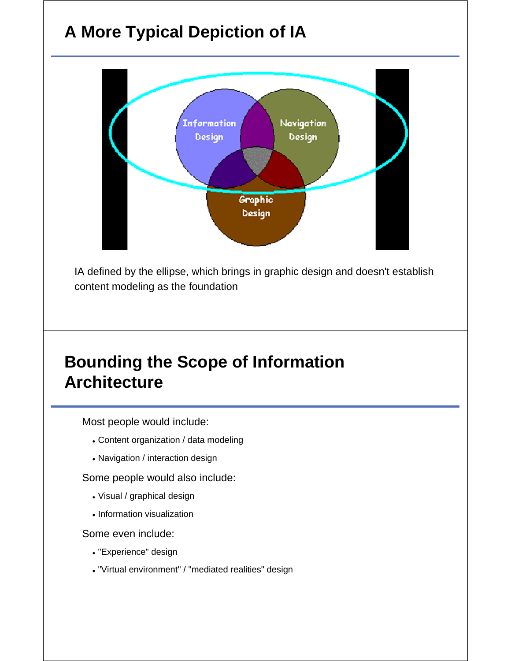# **A More Typical Depiction of IA**



IA defined by the ellipse, which brings in graphic design and doesn't establish content modeling as the foundation

#### **Bounding the Scope of Information Architecture**

Most people would include:

- Content organization / data modeling
- Navigation / interaction design

Some people would also include:

- Visual / graphical design
- Information visualization

Some even include:

- "Experience" design
- "Virtual environment" / "mediated realities" design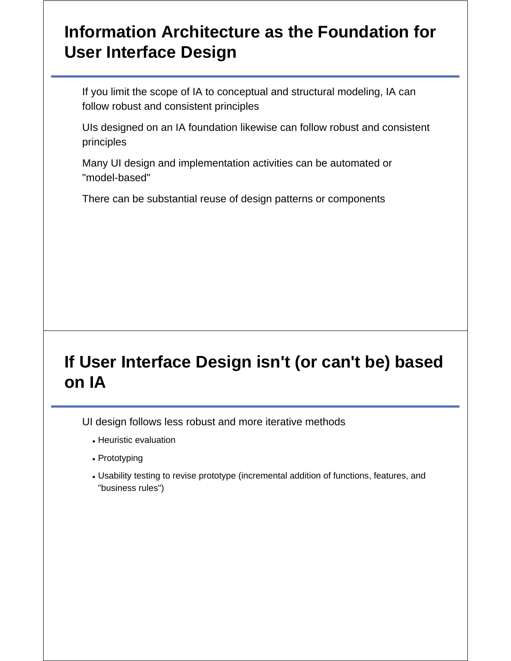### **Information Architecture as the Foundation for User Interface Design**

If you limit the scope of IA to conceptual and structural modeling, IA can follow robust and consistent principles

UIs designed on an IA foundation likewise can follow robust and consistent principles

Many UI design and implementation activities can be automated or "model-based"

There can be substantial reuse of design patterns or components

# **If User Interface Design isn't (or can't be) based on IA**

UI design follows less robust and more iterative methods

- Heuristic evaluation
- Prototyping
- Usability testing to revise prototype (incremental addition of functions, features, and "business rules")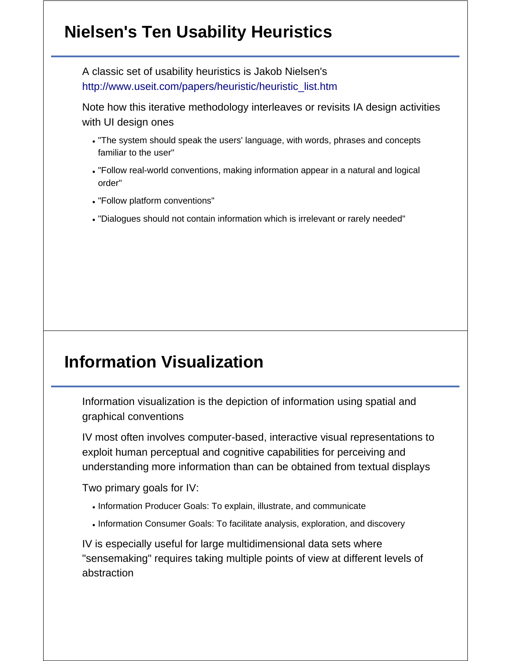## **Nielsen's Ten Usability Heuristics**

A classic set of usability heuristics is Jakob Nielsen's http://www.useit.com/papers/heuristic/heuristic\_list.htm

Note how this iterative methodology interleaves or revisits IA design activities with UI design ones

- "The system should speak the users' language, with words, phrases and concepts familiar to the user"
- "Follow real-world conventions, making information appear in a natural and logical order"
- "Follow platform conventions"
- "Dialogues should not contain information which is irrelevant or rarely needed"

### **Information Visualization**

Information visualization is the depiction of information using spatial and graphical conventions

IV most often involves computer-based, interactive visual representations to exploit human perceptual and cognitive capabilities for perceiving and understanding more information than can be obtained from textual displays

Two primary goals for IV:

- Information Producer Goals: To explain, illustrate, and communicate
- Information Consumer Goals: To facilitate analysis, exploration, and discovery

IV is especially useful for large multidimensional data sets where "sensemaking" requires taking multiple points of view at different levels of abstraction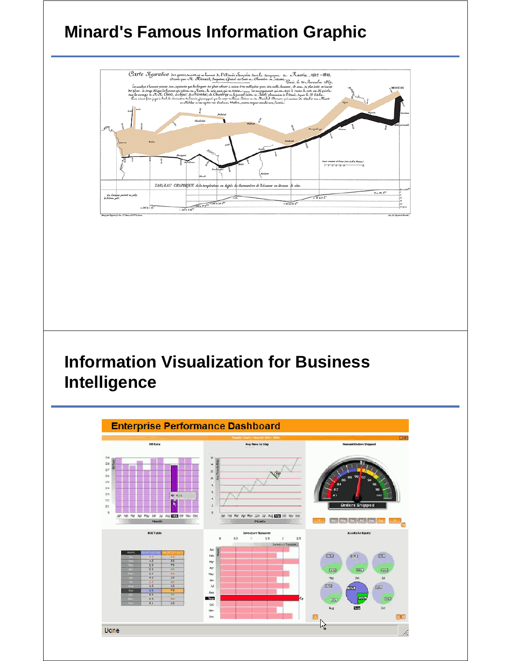# **Minard's Famous Information Graphic**



### **Information Visualization for Business Intelligence**

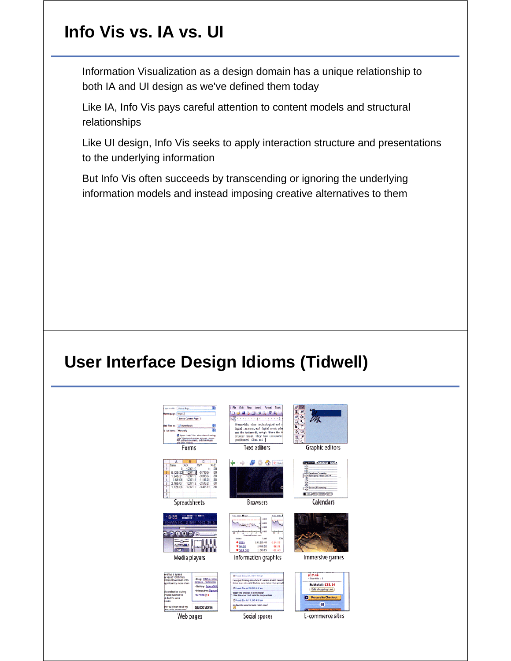# **Info Vis vs. IA vs. UI**

Information Visualization as a design domain has a unique relationship to both IA and UI design as we've defined them today

Like IA, Info Vis pays careful attention to content models and structural relationships

Like UI design, Info Vis seeks to apply interaction structure and presentations to the underlying information

But Info Vis often succeeds by transcending or ignoring the underlying information models and instead imposing creative alternatives to them

#### **User Interface Design Idioms (Tidwell)**

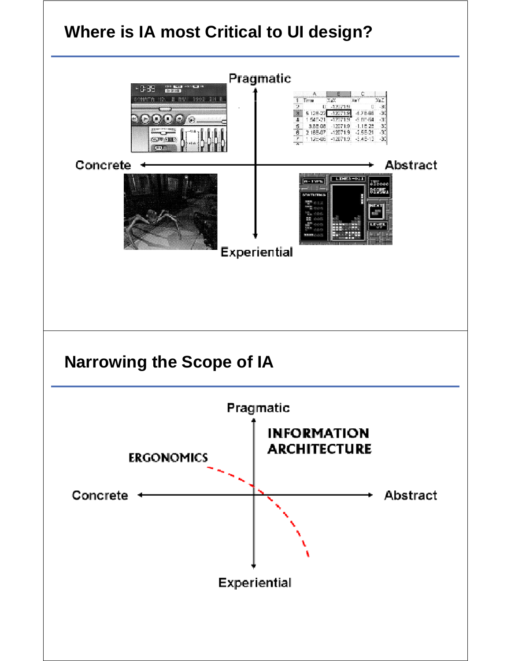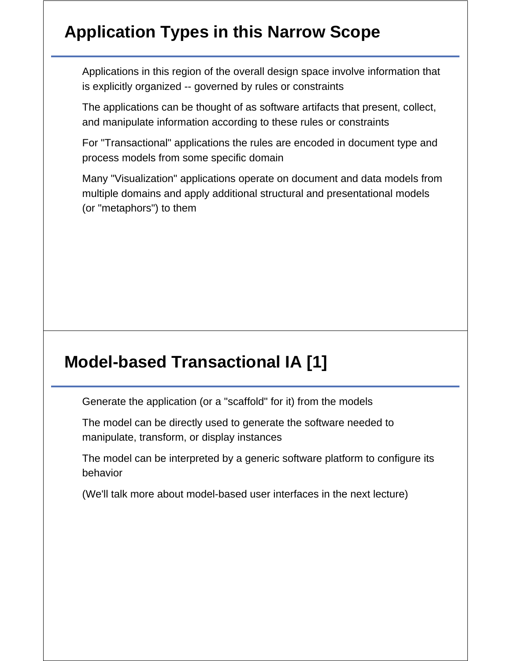# **Application Types in this Narrow Scope**

Applications in this region of the overall design space involve information that is explicitly organized -- governed by rules or constraints

The applications can be thought of as software artifacts that present, collect, and manipulate information according to these rules or constraints

For "Transactional" applications the rules are encoded in document type and process models from some specific domain

Many "Visualization" applications operate on document and data models from multiple domains and apply additional structural and presentational models (or "metaphors") to them

#### **Model-based Transactional IA [1]**

Generate the application (or a "scaffold" for it) from the models

The model can be directly used to generate the software needed to manipulate, transform, or display instances

The model can be interpreted by a generic software platform to configure its behavior

(We'll talk more about model-based user interfaces in the next lecture)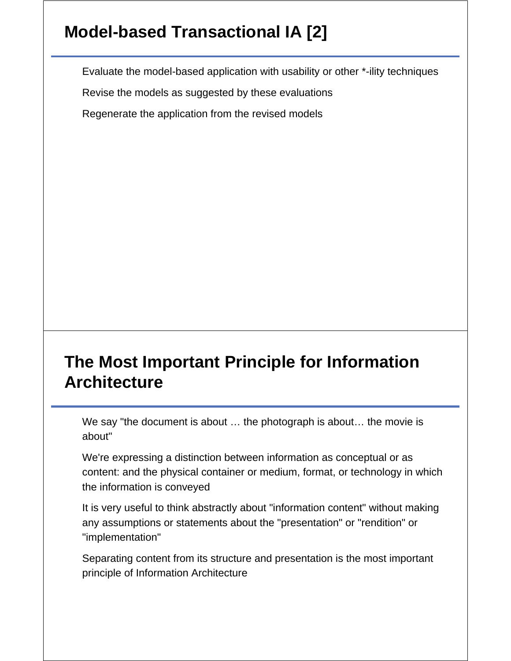# **Model-based Transactional IA [2]**

Evaluate the model-based application with usability or other \*-ility techniques

Revise the models as suggested by these evaluations

Regenerate the application from the revised models

# **The Most Important Principle for Information Architecture**

We say "the document is about … the photograph is about… the movie is about"

We're expressing a distinction between information as conceptual or as content: and the physical container or medium, format, or technology in which the information is conveyed

It is very useful to think abstractly about "information content" without making any assumptions or statements about the "presentation" or "rendition" or "implementation"

Separating content from its structure and presentation is the most important principle of Information Architecture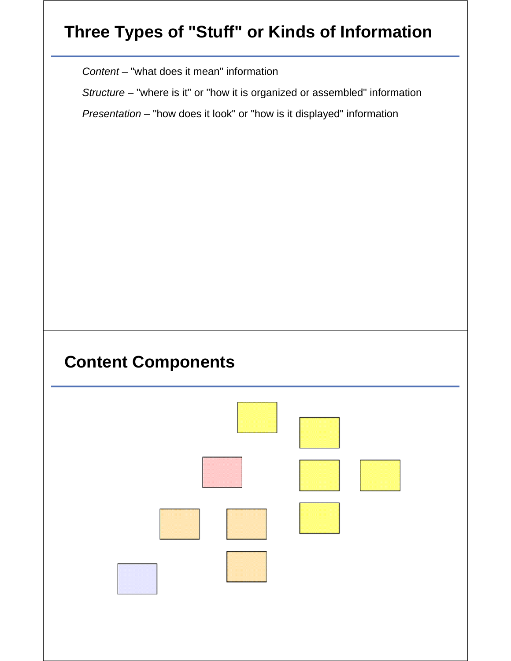# **Three Types of "Stuff" or Kinds of Information**

*Content* – "what does it mean" information

*Structure* – "where is it" or "how it is organized or assembled" information

*Presentation* – "how does it look" or "how is it displayed" information

#### **Content Components**

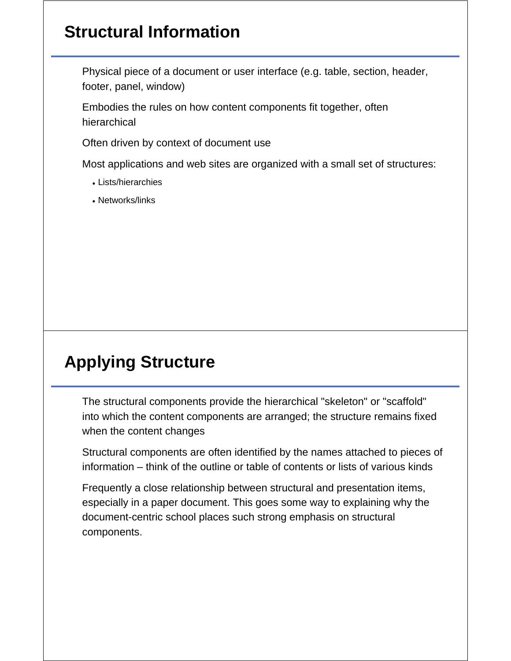# **Structural Information**

Physical piece of a document or user interface (e.g. table, section, header, footer, panel, window)

Embodies the rules on how content components fit together, often hierarchical

Often driven by context of document use

Most applications and web sites are organized with a small set of structures:

- Lists/hierarchies
- Networks/links

# **Applying Structure**

The structural components provide the hierarchical "skeleton" or "scaffold" into which the content components are arranged; the structure remains fixed when the content changes

Structural components are often identified by the names attached to pieces of information – think of the outline or table of contents or lists of various kinds

Frequently a close relationship between structural and presentation items, especially in a paper document. This goes some way to explaining why the document-centric school places such strong emphasis on structural components.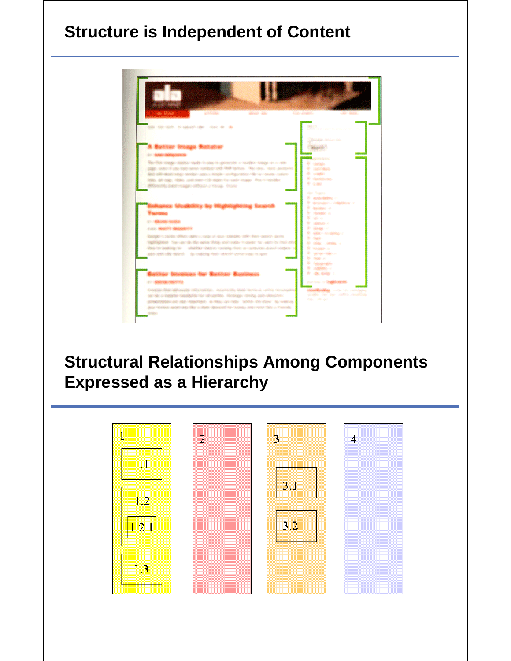# **Structure is Independent of Content**



# **Structural Relationships Among Components Expressed as a Hierarchy**

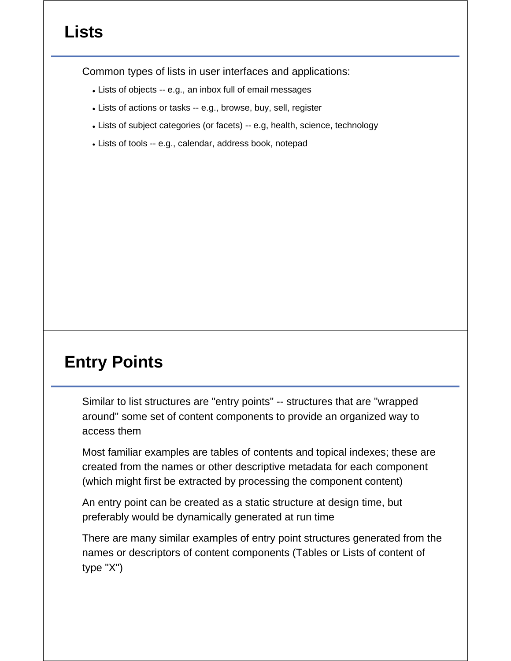# **Lists**

Common types of lists in user interfaces and applications:

- Lists of objects -- e.g., an inbox full of email messages
- Lists of actions or tasks -- e.g., browse, buy, sell, register
- Lists of subject categories (or facets) -- e.g, health, science, technology
- Lists of tools -- e.g., calendar, address book, notepad

### **Entry Points**

Similar to list structures are "entry points" -- structures that are "wrapped around" some set of content components to provide an organized way to access them

Most familiar examples are tables of contents and topical indexes; these are created from the names or other descriptive metadata for each component (which might first be extracted by processing the component content)

An entry point can be created as a static structure at design time, but preferably would be dynamically generated at run time

There are many similar examples of entry point structures generated from the names or descriptors of content components (Tables or Lists of content of type "X")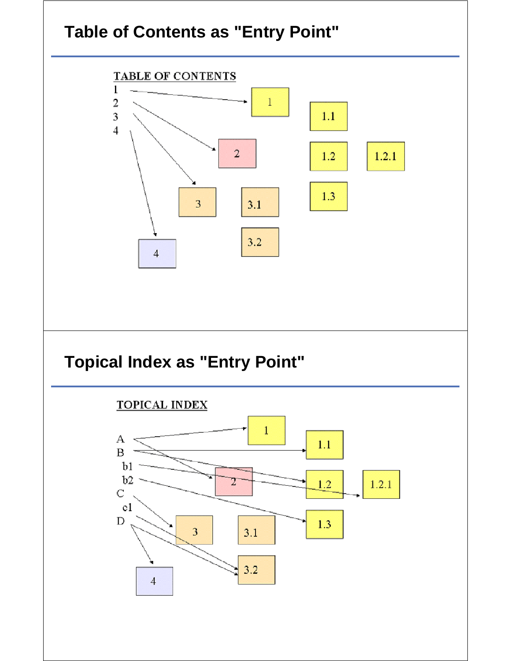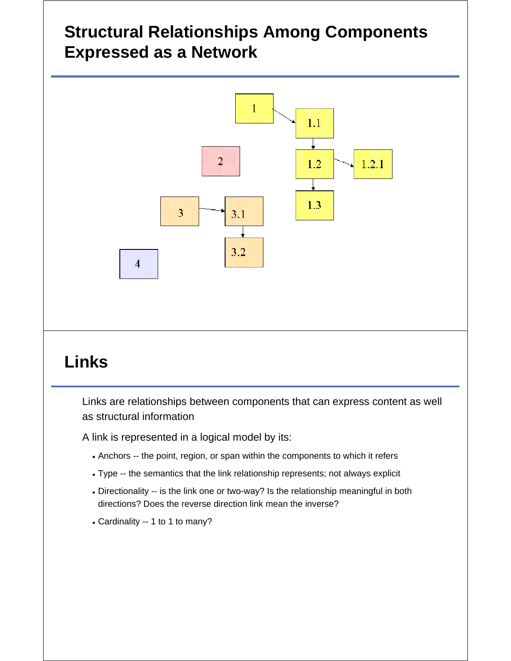# **Structural Relationships Among Components Expressed as a Network**



# **Links**

Links are relationships between components that can express content as well as structural information

A link is represented in a logical model by its:

- Anchors -- the point, region, or span within the components to which it refers
- Type -- the semantics that the link relationship represents; not always explicit
- Directionality -- is the link one or two-way? Is the relationship meaningful in both directions? Does the reverse direction link mean the inverse?
- Cardinality -- 1 to 1 to many?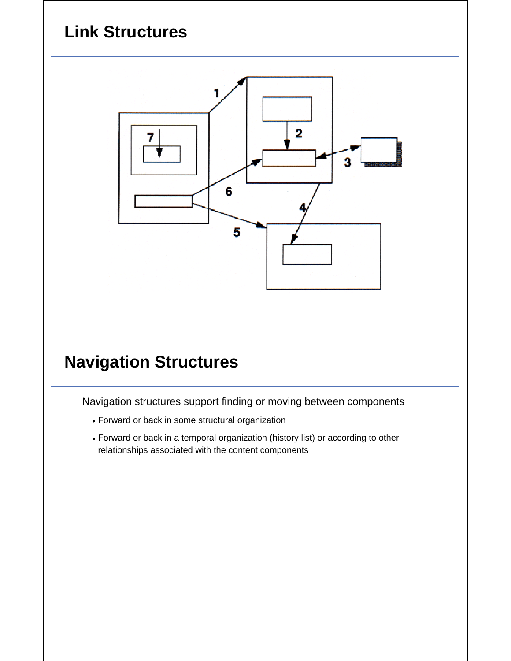# **Link Structures**



# **Navigation Structures**

Navigation structures support finding or moving between components

- Forward or back in some structural organization
- Forward or back in a temporal organization (history list) or according to other relationships associated with the content components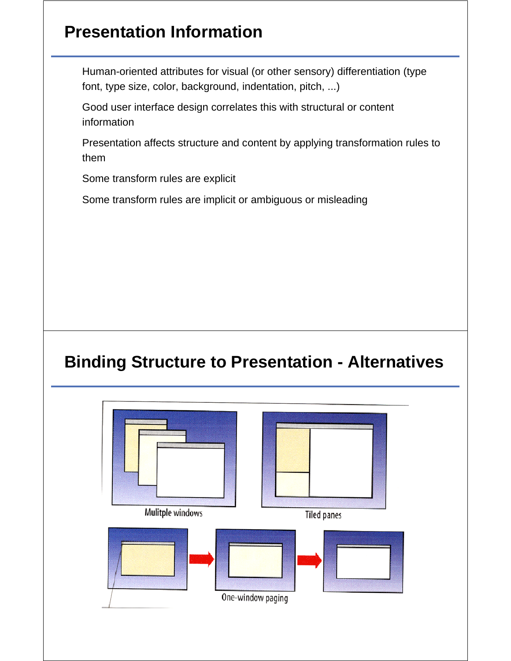# **Presentation Information**

Human-oriented attributes for visual (or other sensory) differentiation (type font, type size, color, background, indentation, pitch, ...)

Good user interface design correlates this with structural or content information

Presentation affects structure and content by applying transformation rules to them

Some transform rules are explicit

Some transform rules are implicit or ambiguous or misleading

#### **Binding Structure to Presentation - Alternatives**

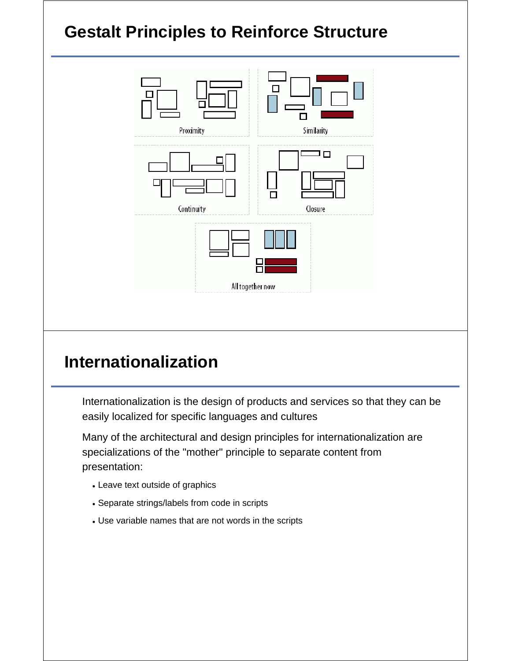

### **Internationalization**

Internationalization is the design of products and services so that they can be easily localized for specific languages and cultures

Many of the architectural and design principles for internationalization are specializations of the "mother" principle to separate content from presentation:

- Leave text outside of graphics
- Separate strings/labels from code in scripts
- Use variable names that are not words in the scripts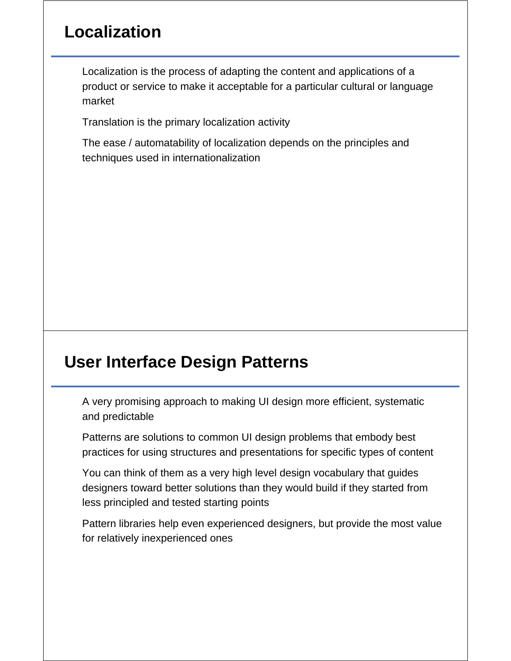### **Localization**

Localization is the process of adapting the content and applications of a product or service to make it acceptable for a particular cultural or language market

Translation is the primary localization activity

The ease / automatability of localization depends on the principles and techniques used in internationalization

#### **User Interface Design Patterns**

A very promising approach to making UI design more efficient, systematic and predictable

Patterns are solutions to common UI design problems that embody best practices for using structures and presentations for specific types of content

You can think of them as a very high level design vocabulary that guides designers toward better solutions than they would build if they started from less principled and tested starting points

Pattern libraries help even experienced designers, but provide the most value for relatively inexperienced ones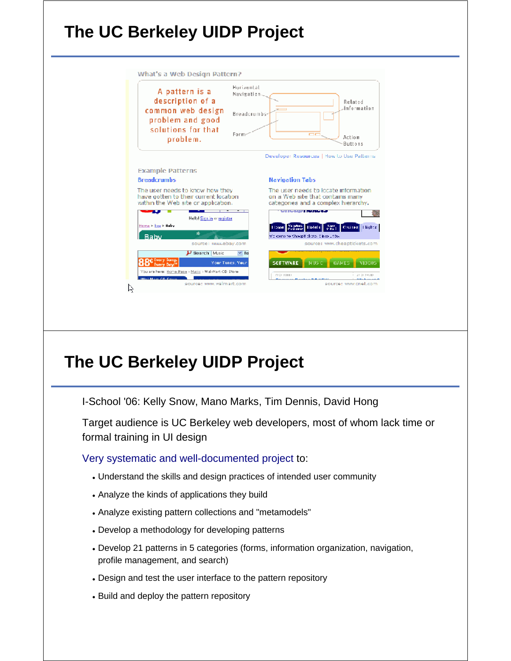# **The UC Berkeley UIDP Project**

| A pattern is a<br>description of a<br>common web design<br>problem and good<br>solutions for that<br>problem. | Horizontal<br>Navigation<br>Related<br>.Information<br>Breadcrumbs<br>Form<br>oo<br>Action<br>Buttons |
|---------------------------------------------------------------------------------------------------------------|-------------------------------------------------------------------------------------------------------|
|                                                                                                               | Developer Resources   How to Use Patterns                                                             |
| <b>Example Patterns</b>                                                                                       |                                                                                                       |
| <b>Breadcrumbs</b>                                                                                            | <b>Navigation Tabs</b>                                                                                |
| The user needs to know how they<br>have gotten to their current location                                      | The user needs to locate information.<br>on a Web site that contains many                             |
|                                                                                                               | categories and a complex hierarchy.                                                                   |
|                                                                                                               | <b>Manufacture in Program was</b>                                                                     |
| Hellol Sign in or register.                                                                                   |                                                                                                       |
| within the Web site or application.<br>Home > Buy > Baby                                                      | <b>Uars</b><br>8 Rail<br><b>Yacaben Ilotels</b><br><b>Cruises</b><br>Illights:<br><b>Home</b>         |
| sk.<br><b>Baby</b>                                                                                            | WE come to ShoapT clots. Since 1986.                                                                  |
| source: www.ebay.com                                                                                          | source: www.cheaptickets.com                                                                          |
| P Search Music                                                                                                | $\times$ fa                                                                                           |
| Oct Every Song.<br><b>Every Day</b>                                                                           | <b>GAMES</b><br>Your Tunes, Your<br>SOFTWARE<br>MUS <sub>C</sub><br>VIDEOS                            |
| You are here: Home Page - Music - Wal-Mart CD Store<br><b>Middle Moon City Council</b>                        | FF 23 FORES<br>JP 23 F=8 HP                                                                           |

#### **The UC Berkeley UIDP Project**

I-School '06: Kelly Snow, Mano Marks, Tim Dennis, David Hong

Target audience is UC Berkeley web developers, most of whom lack time or formal training in UI design

Very systematic and well-documented project to:

- Understand the skills and design practices of intended user community
- Analyze the kinds of applications they build
- Analyze existing pattern collections and "metamodels"
- Develop a methodology for developing patterns
- Develop 21 patterns in 5 categories (forms, information organization, navigation, profile management, and search)
- Design and test the user interface to the pattern repository
- Build and deploy the pattern repository